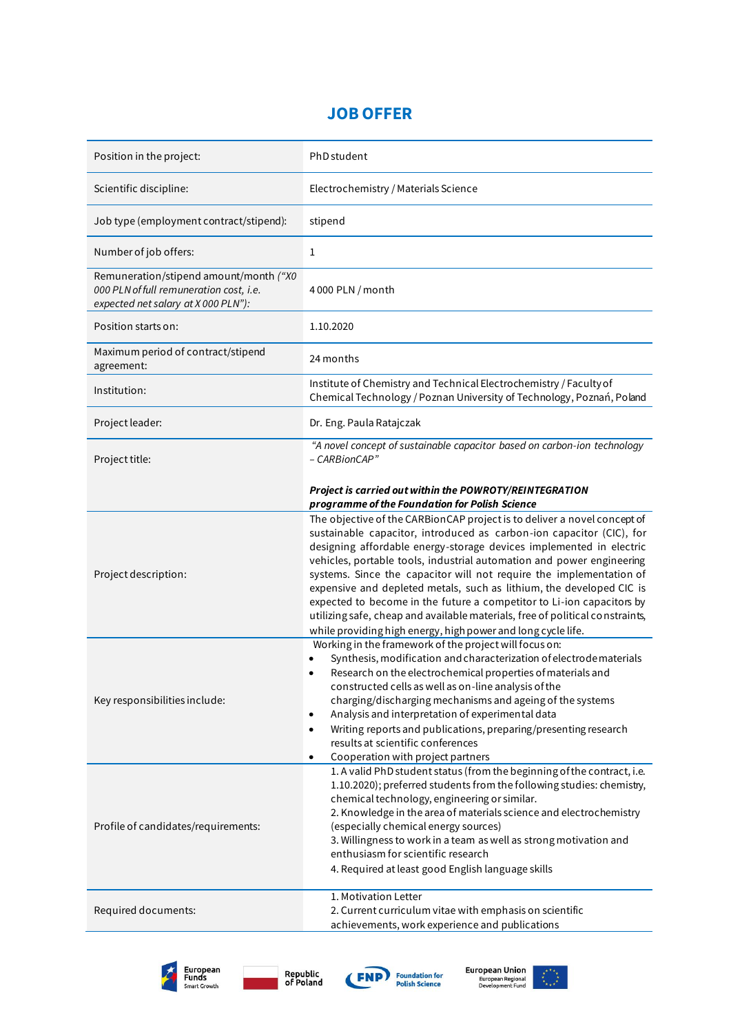## **JOB OFFER**

| Position in the project:                                                                                                 | PhD student                                                                                                                                                                                                                                                                                                                                                                                                                                                                                                                                                                                                                                                               |
|--------------------------------------------------------------------------------------------------------------------------|---------------------------------------------------------------------------------------------------------------------------------------------------------------------------------------------------------------------------------------------------------------------------------------------------------------------------------------------------------------------------------------------------------------------------------------------------------------------------------------------------------------------------------------------------------------------------------------------------------------------------------------------------------------------------|
| Scientific discipline:                                                                                                   | Electrochemistry / Materials Science                                                                                                                                                                                                                                                                                                                                                                                                                                                                                                                                                                                                                                      |
| Job type (employment contract/stipend):                                                                                  | stipend                                                                                                                                                                                                                                                                                                                                                                                                                                                                                                                                                                                                                                                                   |
| Number of job offers:                                                                                                    | 1                                                                                                                                                                                                                                                                                                                                                                                                                                                                                                                                                                                                                                                                         |
| Remuneration/stipend amount/month ("X0<br>000 PLN of full remuneration cost, i.e.<br>expected net salary at X 000 PLN"): | 4 000 PLN / month                                                                                                                                                                                                                                                                                                                                                                                                                                                                                                                                                                                                                                                         |
| Position starts on:                                                                                                      | 1.10.2020                                                                                                                                                                                                                                                                                                                                                                                                                                                                                                                                                                                                                                                                 |
| Maximum period of contract/stipend<br>agreement:                                                                         | 24 months                                                                                                                                                                                                                                                                                                                                                                                                                                                                                                                                                                                                                                                                 |
| Institution:                                                                                                             | Institute of Chemistry and Technical Electrochemistry / Faculty of<br>Chemical Technology / Poznan University of Technology, Poznań, Poland                                                                                                                                                                                                                                                                                                                                                                                                                                                                                                                               |
| Project leader:                                                                                                          | Dr. Eng. Paula Ratajczak                                                                                                                                                                                                                                                                                                                                                                                                                                                                                                                                                                                                                                                  |
| Project title:                                                                                                           | "A novel concept of sustainable capacitor based on carbon-ion technology<br>- CARBionCAP"                                                                                                                                                                                                                                                                                                                                                                                                                                                                                                                                                                                 |
|                                                                                                                          | Project is carried out within the POWROTY/REINTEGRATION<br>programme of the Foundation for Polish Science                                                                                                                                                                                                                                                                                                                                                                                                                                                                                                                                                                 |
| Project description:                                                                                                     | The objective of the CARBionCAP project is to deliver a novel concept of<br>sustainable capacitor, introduced as carbon-ion capacitor (CIC), for<br>designing affordable energy-storage devices implemented in electric<br>vehicles, portable tools, industrial automation and power engineering<br>systems. Since the capacitor will not require the implementation of<br>expensive and depleted metals, such as lithium, the developed CIC is<br>expected to become in the future a competitor to Li-ion capacitors by<br>utilizing safe, cheap and available materials, free of political constraints,<br>while providing high energy, high power and long cycle life. |
| Key responsibilities include:                                                                                            | Working in the framework of the project will focus on:<br>Synthesis, modification and characterization of electrode materials<br>Research on the electrochemical properties of materials and<br>constructed cells as well as on-line analysis of the<br>charging/discharging mechanisms and ageing of the systems<br>Analysis and interpretation of experimental data<br>Writing reports and publications, preparing/presenting research<br>٠<br>results at scientific conferences<br>Cooperation with project partners<br>$\bullet$                                                                                                                                      |
| Profile of candidates/requirements:                                                                                      | 1. A valid PhD student status (from the beginning of the contract, i.e.<br>1.10.2020); preferred students from the following studies: chemistry,<br>chemical technology, engineering or similar.<br>2. Knowledge in the area of materials science and electrochemistry<br>(especially chemical energy sources)<br>3. Willingness to work in a team as well as strong motivation and<br>enthusiasm for scientific research<br>4. Required at least good English language skills<br>1. Motivation Letter                                                                                                                                                                    |
| Required documents:                                                                                                      | 2. Current curriculum vitae with emphasis on scientific<br>achievements, work experience and publications                                                                                                                                                                                                                                                                                                                                                                                                                                                                                                                                                                 |









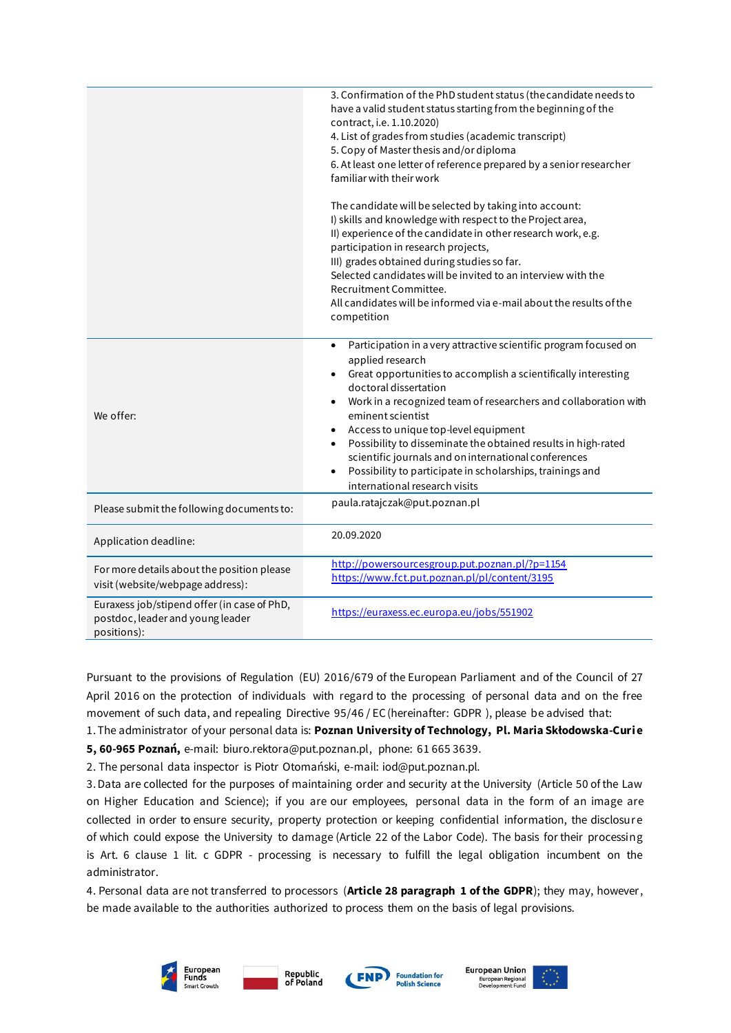|                                                                                                | 3. Confirmation of the PhD student status (the candidate needs to<br>have a valid student status starting from the beginning of the<br>contract, i.e. 1.10.2020)<br>4. List of grades from studies (academic transcript)<br>5. Copy of Master thesis and/or diploma<br>6. At least one letter of reference prepared by a senior researcher<br>familiar with their work<br>The candidate will be selected by taking into account:<br>I) skills and knowledge with respect to the Project area,<br>II) experience of the candidate in other research work, e.g.<br>participation in research projects,<br>III) grades obtained during studies so far.<br>Selected candidates will be invited to an interview with the<br>Recruitment Committee.<br>All candidates will be informed via e-mail about the results of the<br>competition |
|------------------------------------------------------------------------------------------------|-------------------------------------------------------------------------------------------------------------------------------------------------------------------------------------------------------------------------------------------------------------------------------------------------------------------------------------------------------------------------------------------------------------------------------------------------------------------------------------------------------------------------------------------------------------------------------------------------------------------------------------------------------------------------------------------------------------------------------------------------------------------------------------------------------------------------------------|
| We offer:                                                                                      | Participation in a very attractive scientific program focused on<br>$\bullet$<br>applied research<br>Great opportunities to accomplish a scientifically interesting<br>doctoral dissertation<br>Work in a recognized team of researchers and collaboration with<br>$\bullet$<br>eminent scientist<br>Access to unique top-level equipment<br>$\bullet$<br>Possibility to disseminate the obtained results in high-rated<br>$\bullet$<br>scientific journals and on international conferences<br>Possibility to participate in scholarships, trainings and<br>$\bullet$<br>international research visits                                                                                                                                                                                                                             |
| Please submit the following documents to:                                                      | paula.ratajczak@put.poznan.pl                                                                                                                                                                                                                                                                                                                                                                                                                                                                                                                                                                                                                                                                                                                                                                                                       |
| Application deadline:                                                                          | 20.09.2020                                                                                                                                                                                                                                                                                                                                                                                                                                                                                                                                                                                                                                                                                                                                                                                                                          |
| For more details about the position please<br>visit (website/webpage address):                 | http://powersourcesgroup.put.poznan.pl/?p=1154<br>https://www.fct.put.poznan.pl/pl/content/3195                                                                                                                                                                                                                                                                                                                                                                                                                                                                                                                                                                                                                                                                                                                                     |
| Euraxess job/stipend offer (in case of PhD,<br>postdoc, leader and young leader<br>positions): | https://euraxess.ec.europa.eu/jobs/551902                                                                                                                                                                                                                                                                                                                                                                                                                                                                                                                                                                                                                                                                                                                                                                                           |

Pursuant to the provisions of Regulation (EU) 2016/679 of the European Parliament and of the Council of 27 April 2016 on the protection of individuals with regard to the processing of personal data and on the free movement of such data, and repealing Directive 95/46 / EC (hereinafter: GDPR ), please be advised that:

1. The administrator of your personal data is: **Poznan University of Technology, Pl. Maria Skłodowska-Curi e** 

**5, 60-965 Poznań,** e-mail: biuro.rektora@put.poznan.pl, phone: 61 665 3639.

2. The personal data inspector is Piotr Otomański, e-mail: iod@put.poznan.pl.

3. Data are collected for the purposes of maintaining order and security at the University (Article 50 of the Law on Higher Education and Science); if you are our employees, personal data in the form of an image are collected in order to ensure security, property protection or keeping confidential information, the disclosure of which could expose the University to damage (Article 22 of the Labor Code). The basis for their processing is Art. 6 clause 1 lit. c GDPR - processing is necessary to fulfill the legal obligation incumbent on the administrator.

4. Personal data are not transferred to processors (**Article 28 paragraph 1 of the GDPR**); they may, however , be made available to the authorities authorized to process them on the basis of legal provisions.